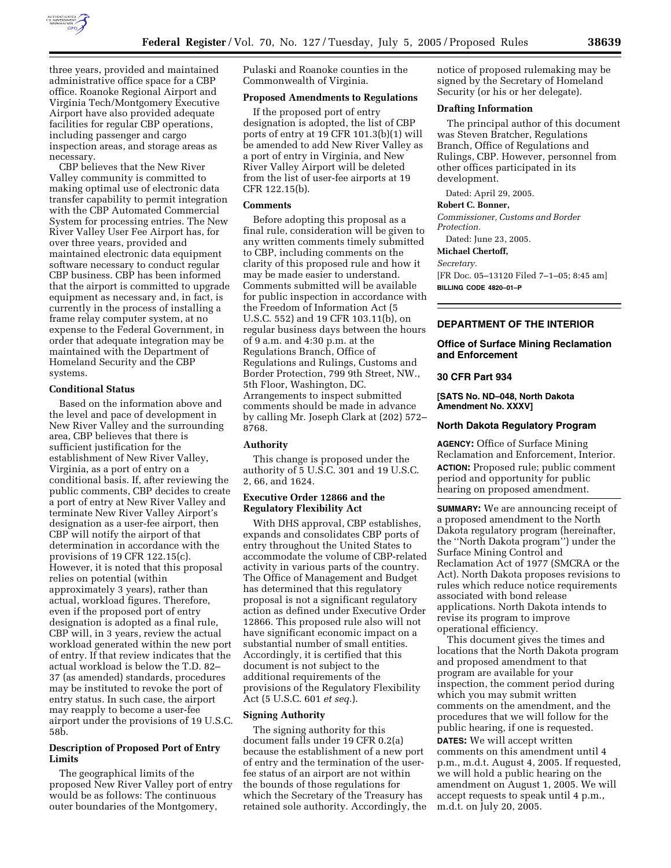

three years, provided and maintained administrative office space for a CBP office. Roanoke Regional Airport and Virginia Tech/Montgomery Executive Airport have also provided adequate facilities for regular CBP operations, including passenger and cargo inspection areas, and storage areas as necessary.

CBP believes that the New River Valley community is committed to making optimal use of electronic data transfer capability to permit integration with the CBP Automated Commercial System for processing entries. The New River Valley User Fee Airport has, for over three years, provided and maintained electronic data equipment software necessary to conduct regular CBP business. CBP has been informed that the airport is committed to upgrade equipment as necessary and, in fact, is currently in the process of installing a frame relay computer system, at no expense to the Federal Government, in order that adequate integration may be maintained with the Department of Homeland Security and the CBP systems.

# **Conditional Status**

Based on the information above and the level and pace of development in New River Valley and the surrounding area, CBP believes that there is sufficient justification for the establishment of New River Valley, Virginia, as a port of entry on a conditional basis. If, after reviewing the public comments, CBP decides to create a port of entry at New River Valley and terminate New River Valley Airport's designation as a user-fee airport, then CBP will notify the airport of that determination in accordance with the provisions of 19 CFR 122.15(c). However, it is noted that this proposal relies on potential (within approximately 3 years), rather than actual, workload figures. Therefore, even if the proposed port of entry designation is adopted as a final rule, CBP will, in 3 years, review the actual workload generated within the new port of entry. If that review indicates that the actual workload is below the T.D. 82– 37 (as amended) standards, procedures may be instituted to revoke the port of entry status. In such case, the airport may reapply to become a user-fee airport under the provisions of 19 U.S.C. 58b.

# **Description of Proposed Port of Entry Limits**

The geographical limits of the proposed New River Valley port of entry would be as follows: The continuous outer boundaries of the Montgomery,

Pulaski and Roanoke counties in the Commonwealth of Virginia.

#### **Proposed Amendments to Regulations**

If the proposed port of entry designation is adopted, the list of CBP ports of entry at 19 CFR 101.3(b)(1) will be amended to add New River Valley as a port of entry in Virginia, and New River Valley Airport will be deleted from the list of user-fee airports at 19 CFR 122.15(b).

## **Comments**

Before adopting this proposal as a final rule, consideration will be given to any written comments timely submitted to CBP, including comments on the clarity of this proposed rule and how it may be made easier to understand. Comments submitted will be available for public inspection in accordance with the Freedom of Information Act (5 U.S.C. 552) and 19 CFR 103.11(b), on regular business days between the hours of 9 a.m. and 4:30 p.m. at the Regulations Branch, Office of Regulations and Rulings, Customs and Border Protection, 799 9th Street, NW., 5th Floor, Washington, DC. Arrangements to inspect submitted comments should be made in advance by calling Mr. Joseph Clark at (202) 572– 8768.

# **Authority**

This change is proposed under the authority of 5 U.S.C. 301 and 19 U.S.C. 2, 66, and 1624.

# **Executive Order 12866 and the Regulatory Flexibility Act**

With DHS approval, CBP establishes, expands and consolidates CBP ports of entry throughout the United States to accommodate the volume of CBP-related activity in various parts of the country. The Office of Management and Budget has determined that this regulatory proposal is not a significant regulatory action as defined under Executive Order 12866. This proposed rule also will not have significant economic impact on a substantial number of small entities. Accordingly, it is certified that this document is not subject to the additional requirements of the provisions of the Regulatory Flexibility Act (5 U.S.C. 601 *et seq.*).

# **Signing Authority**

The signing authority for this document falls under 19 CFR 0.2(a) because the establishment of a new port of entry and the termination of the userfee status of an airport are not within the bounds of those regulations for which the Secretary of the Treasury has retained sole authority. Accordingly, the notice of proposed rulemaking may be signed by the Secretary of Homeland Security (or his or her delegate).

## **Drafting Information**

The principal author of this document was Steven Bratcher, Regulations Branch, Office of Regulations and Rulings, CBP. However, personnel from other offices participated in its development.

Dated: April 29, 2005.

# **Robert C. Bonner,**

*Commissioner, Customs and Border Protection.* 

Dated: June 23, 2005.

**Michael Chertoff,** 

# *Secretary.*

[FR Doc. 05–13120 Filed 7–1–05; 8:45 am] **BILLING CODE 4820–01–P**

# **DEPARTMENT OF THE INTERIOR**

## **Office of Surface Mining Reclamation and Enforcement**

## **30 CFR Part 934**

**[SATS No. ND–048, North Dakota Amendment No. XXXV]** 

# **North Dakota Regulatory Program**

**AGENCY:** Office of Surface Mining Reclamation and Enforcement, Interior. **ACTION:** Proposed rule; public comment period and opportunity for public hearing on proposed amendment.

**SUMMARY:** We are announcing receipt of a proposed amendment to the North Dakota regulatory program (hereinafter, the ''North Dakota program'') under the Surface Mining Control and Reclamation Act of 1977 (SMCRA or the Act). North Dakota proposes revisions to rules which reduce notice requirements associated with bond release applications. North Dakota intends to revise its program to improve operational efficiency.

This document gives the times and locations that the North Dakota program and proposed amendment to that program are available for your inspection, the comment period during which you may submit written comments on the amendment, and the procedures that we will follow for the public hearing, if one is requested.

**DATES:** We will accept written comments on this amendment until 4 p.m., m.d.t. August 4, 2005. If requested, we will hold a public hearing on the amendment on August 1, 2005. We will accept requests to speak until 4 p.m., m.d.t. on July 20, 2005.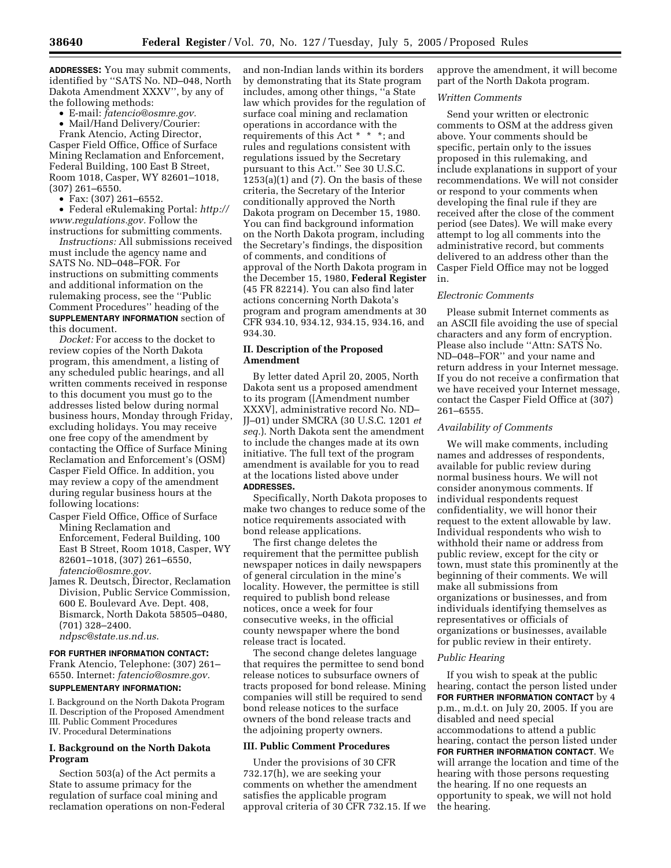**ADDRESSES:** You may submit comments, identified by ''SATS No. ND–048, North Dakota Amendment XXXV'', by any of the following methods:

• E-mail: *fatencio@osmre.gov.*

• Mail/Hand Delivery/Courier:

Frank Atencio, Acting Director, Casper Field Office, Office of Surface Mining Reclamation and Enforcement, Federal Building, 100 East B Street, Room 1018, Casper, WY 82601–1018, (307) 261–6550.

• Fax: (307) 261–6552.

• Federal eRulemaking Portal: *http:// www.regulations.gov.* Follow the instructions for submitting comments.

*Instructions:* All submissions received must include the agency name and SATS No. ND–048–FOR. For instructions on submitting comments and additional information on the rulemaking process, see the ''Public Comment Procedures'' heading of the **SUPPLEMENTARY INFORMATION** section of this document.

*Docket:* For access to the docket to review copies of the North Dakota program, this amendment, a listing of any scheduled public hearings, and all written comments received in response to this document you must go to the addresses listed below during normal business hours, Monday through Friday, excluding holidays. You may receive one free copy of the amendment by contacting the Office of Surface Mining Reclamation and Enforcement's (OSM) Casper Field Office. In addition, you may review a copy of the amendment during regular business hours at the following locations:

- Casper Field Office, Office of Surface Mining Reclamation and Enforcement, Federal Building, 100 East B Street, Room 1018, Casper, WY 82601–1018, (307) 261–6550, *fatencio@osmre.gov.*
- James R. Deutsch, Director, Reclamation Division, Public Service Commission, 600 E. Boulevard Ave. Dept. 408, Bismarck, North Dakota 58505–0480, (701) 328–2400. *ndpsc@state.us.nd.us*.

#### **FOR FURTHER INFORMATION CONTACT:**

Frank Atencio, Telephone: (307) 261– 6550. Internet: *fatencio@osmre.gov.*

#### **SUPPLEMENTARY INFORMATION:**

I. Background on the North Dakota Program II. Description of the Proposed Amendment III. Public Comment Procedures IV. Procedural Determinations

# **I. Background on the North Dakota Program**

Section 503(a) of the Act permits a State to assume primacy for the regulation of surface coal mining and reclamation operations on non-Federal

and non-Indian lands within its borders by demonstrating that its State program includes, among other things, ''a State law which provides for the regulation of surface coal mining and reclamation operations in accordance with the requirements of this Act \* \* \*; and rules and regulations consistent with regulations issued by the Secretary pursuant to this Act.'' See 30 U.S.C. 1253(a)(1) and (7). On the basis of these criteria, the Secretary of the Interior conditionally approved the North Dakota program on December 15, 1980. You can find background information on the North Dakota program, including the Secretary's findings, the disposition of comments, and conditions of approval of the North Dakota program in the December 15, 1980, **Federal Register** (45 FR 82214). You can also find later actions concerning North Dakota's program and program amendments at 30 CFR 934.10, 934.12, 934.15, 934.16, and 934.30.

## **II. Description of the Proposed Amendment**

By letter dated April 20, 2005, North Dakota sent us a proposed amendment to its program ([Amendment number XXXV], administrative record No. ND– JJ–01) under SMCRA (30 U.S.C. 1201 *et seq.*). North Dakota sent the amendment to include the changes made at its own initiative. The full text of the program amendment is available for you to read at the locations listed above under **ADDRESSES.**

Specifically, North Dakota proposes to make two changes to reduce some of the notice requirements associated with bond release applications.

The first change deletes the requirement that the permittee publish newspaper notices in daily newspapers of general circulation in the mine's locality. However, the permittee is still required to publish bond release notices, once a week for four consecutive weeks, in the official county newspaper where the bond release tract is located.

The second change deletes language that requires the permittee to send bond release notices to subsurface owners of tracts proposed for bond release. Mining companies will still be required to send bond release notices to the surface owners of the bond release tracts and the adjoining property owners.

#### **III. Public Comment Procedures**

Under the provisions of 30 CFR 732.17(h), we are seeking your comments on whether the amendment satisfies the applicable program approval criteria of 30 CFR 732.15. If we approve the amendment, it will become part of the North Dakota program.

#### *Written Comments*

Send your written or electronic comments to OSM at the address given above. Your comments should be specific, pertain only to the issues proposed in this rulemaking, and include explanations in support of your recommendations. We will not consider or respond to your comments when developing the final rule if they are received after the close of the comment period (see Dates). We will make every attempt to log all comments into the administrative record, but comments delivered to an address other than the Casper Field Office may not be logged in.

#### *Electronic Comments*

Please submit Internet comments as an ASCII file avoiding the use of special characters and any form of encryption. Please also include ''Attn: SATS No. ND–048–FOR'' and your name and return address in your Internet message. If you do not receive a confirmation that we have received your Internet message, contact the Casper Field Office at (307) 261–6555.

#### *Availability of Comments*

We will make comments, including names and addresses of respondents, available for public review during normal business hours. We will not consider anonymous comments. If individual respondents request confidentiality, we will honor their request to the extent allowable by law. Individual respondents who wish to withhold their name or address from public review, except for the city or town, must state this prominently at the beginning of their comments. We will make all submissions from organizations or businesses, and from individuals identifying themselves as representatives or officials of organizations or businesses, available for public review in their entirety.

#### *Public Hearing*

If you wish to speak at the public hearing, contact the person listed under **FOR FURTHER INFORMATION CONTACT** by 4 p.m., m.d.t. on July 20, 2005. If you are disabled and need special accommodations to attend a public hearing, contact the person listed under **FOR FURTHER INFORMATION CONTACT**. We will arrange the location and time of the hearing with those persons requesting the hearing. If no one requests an opportunity to speak, we will not hold the hearing.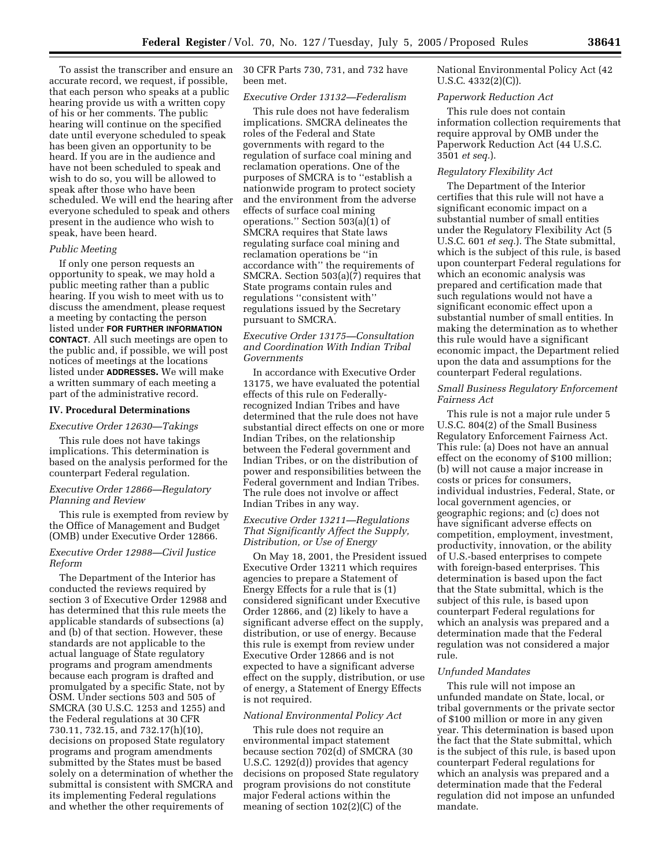To assist the transcriber and ensure an accurate record, we request, if possible, that each person who speaks at a public hearing provide us with a written copy of his or her comments. The public hearing will continue on the specified date until everyone scheduled to speak has been given an opportunity to be heard. If you are in the audience and have not been scheduled to speak and wish to do so, you will be allowed to speak after those who have been scheduled. We will end the hearing after everyone scheduled to speak and others present in the audience who wish to speak, have been heard.

## *Public Meeting*

If only one person requests an opportunity to speak, we may hold a public meeting rather than a public hearing. If you wish to meet with us to discuss the amendment, please request a meeting by contacting the person listed under **FOR FURTHER INFORMATION CONTACT**. All such meetings are open to the public and, if possible, we will post notices of meetings at the locations listed under **ADDRESSES.** We will make a written summary of each meeting a part of the administrative record.

#### **IV. Procedural Determinations**

#### *Executive Order 12630—Takings*

This rule does not have takings implications. This determination is based on the analysis performed for the counterpart Federal regulation.

## *Executive Order 12866—Regulatory Planning and Review*

This rule is exempted from review by the Office of Management and Budget (OMB) under Executive Order 12866.

# *Executive Order 12988—Civil Justice Reform*

The Department of the Interior has conducted the reviews required by section 3 of Executive Order 12988 and has determined that this rule meets the applicable standards of subsections (a) and (b) of that section. However, these standards are not applicable to the actual language of State regulatory programs and program amendments because each program is drafted and promulgated by a specific State, not by OSM. Under sections 503 and 505 of SMCRA (30 U.S.C. 1253 and 1255) and the Federal regulations at 30 CFR 730.11, 732.15, and 732.17(h)(10), decisions on proposed State regulatory programs and program amendments submitted by the States must be based solely on a determination of whether the submittal is consistent with SMCRA and its implementing Federal regulations and whether the other requirements of

30 CFR Parts 730, 731, and 732 have been met.

# *Executive Order 13132—Federalism*

This rule does not have federalism implications. SMCRA delineates the roles of the Federal and State governments with regard to the regulation of surface coal mining and reclamation operations. One of the purposes of SMCRA is to ''establish a nationwide program to protect society and the environment from the adverse effects of surface coal mining operations.'' Section 503(a)(1) of SMCRA requires that State laws regulating surface coal mining and reclamation operations be ''in accordance with'' the requirements of SMCRA. Section 503(a)(7) requires that State programs contain rules and regulations ''consistent with'' regulations issued by the Secretary pursuant to SMCRA.

# *Executive Order 13175—Consultation and Coordination With Indian Tribal Governments*

In accordance with Executive Order 13175, we have evaluated the potential effects of this rule on Federallyrecognized Indian Tribes and have determined that the rule does not have substantial direct effects on one or more Indian Tribes, on the relationship between the Federal government and Indian Tribes, or on the distribution of power and responsibilities between the Federal government and Indian Tribes. The rule does not involve or affect Indian Tribes in any way.

## *Executive Order 13211—Regulations That Significantly Affect the Supply, Distribution, or Use of Energy*

On May 18, 2001, the President issued Executive Order 13211 which requires agencies to prepare a Statement of Energy Effects for a rule that is (1) considered significant under Executive Order 12866, and (2) likely to have a significant adverse effect on the supply, distribution, or use of energy. Because this rule is exempt from review under Executive Order 12866 and is not expected to have a significant adverse effect on the supply, distribution, or use of energy, a Statement of Energy Effects is not required.

#### *National Environmental Policy Act*

This rule does not require an environmental impact statement because section 702(d) of SMCRA (30 U.S.C. 1292(d)) provides that agency decisions on proposed State regulatory program provisions do not constitute major Federal actions within the meaning of section 102(2)(C) of the

National Environmental Policy Act (42 U.S.C. 4332(2)(C)).

#### *Paperwork Reduction Act*

This rule does not contain information collection requirements that require approval by OMB under the Paperwork Reduction Act (44 U.S.C. 3501 *et seq.*).

#### *Regulatory Flexibility Act*

The Department of the Interior certifies that this rule will not have a significant economic impact on a substantial number of small entities under the Regulatory Flexibility Act (5 U.S.C. 601 *et seq.*). The State submittal, which is the subject of this rule, is based upon counterpart Federal regulations for which an economic analysis was prepared and certification made that such regulations would not have a significant economic effect upon a substantial number of small entities. In making the determination as to whether this rule would have a significant economic impact, the Department relied upon the data and assumptions for the counterpart Federal regulations.

#### *Small Business Regulatory Enforcement Fairness Act*

This rule is not a major rule under 5 U.S.C. 804(2) of the Small Business Regulatory Enforcement Fairness Act. This rule: (a) Does not have an annual effect on the economy of \$100 million; (b) will not cause a major increase in costs or prices for consumers, individual industries, Federal, State, or local government agencies, or geographic regions; and (c) does not have significant adverse effects on competition, employment, investment, productivity, innovation, or the ability of U.S.-based enterprises to compete with foreign-based enterprises. This determination is based upon the fact that the State submittal, which is the subject of this rule, is based upon counterpart Federal regulations for which an analysis was prepared and a determination made that the Federal regulation was not considered a major rule.

#### *Unfunded Mandates*

This rule will not impose an unfunded mandate on State, local, or tribal governments or the private sector of \$100 million or more in any given year. This determination is based upon the fact that the State submittal, which is the subject of this rule, is based upon counterpart Federal regulations for which an analysis was prepared and a determination made that the Federal regulation did not impose an unfunded mandate.